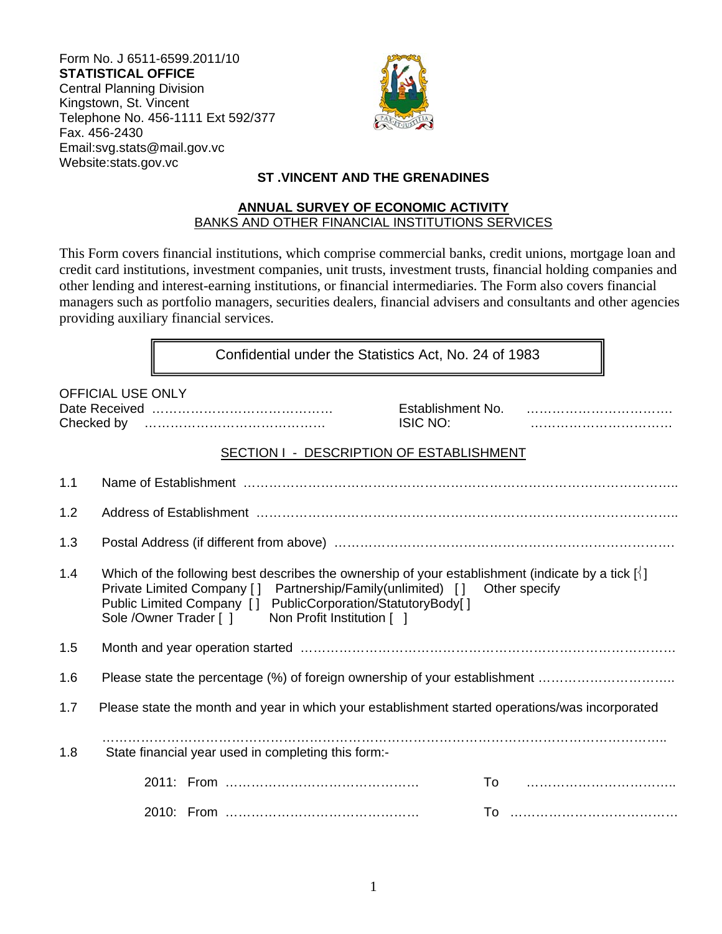Form No. J 6511-6599.2011/10 **STATISTICAL OFFICE**  Central Planning Division Kingstown, St. Vincent Telephone No. 456-1111 Ext 592/377 Fax. 456-2430 Email:svg.stats@mail.gov.vc Website:stats.gov.vc



### **ST .VINCENT AND THE GRENADINES**

#### **ANNUAL SURVEY OF ECONOMIC ACTIVITY**  BANKS AND OTHER FINANCIAL INSTITUTIONS SERVICES

This Form covers financial institutions, which comprise commercial banks, credit unions, mortgage loan and credit card institutions, investment companies, unit trusts, investment trusts, financial holding companies and other lending and interest-earning institutions, or financial intermediaries. The Form also covers financial managers such as portfolio managers, securities dealers, financial advisers and consultants and other agencies providing auxiliary financial services.

Confidential under the Statistics Act, No. 24 of 1983

| <b>OFFICIAL USE ONLY</b> |                                                                                                                                                                                                                                                                             | Establishment No.<br><b>ISIC NO:</b>           |  |
|--------------------------|-----------------------------------------------------------------------------------------------------------------------------------------------------------------------------------------------------------------------------------------------------------------------------|------------------------------------------------|--|
|                          | SECTION I - DESCRIPTION OF ESTABLISHMENT                                                                                                                                                                                                                                    |                                                |  |
| 1.1                      |                                                                                                                                                                                                                                                                             |                                                |  |
| 1.2                      |                                                                                                                                                                                                                                                                             |                                                |  |
| 1.3                      |                                                                                                                                                                                                                                                                             |                                                |  |
| 1.4                      | Which of the following best describes the ownership of your establishment (indicate by a tick $\lceil \cdot \rceil$ )<br>Private Limited Company []<br>Public Limited Company [] PublicCorporation/StatutoryBody[]<br>Sole / Owner Trader [ ]<br>Non Profit Institution [ ] | Partnership/Family(unlimited) [] Other specify |  |
| 1.5                      |                                                                                                                                                                                                                                                                             |                                                |  |
| 1.6                      | Please state the percentage (%) of foreign ownership of your establishment                                                                                                                                                                                                  |                                                |  |
| 1.7                      | Please state the month and year in which your establishment started operations/was incorporated                                                                                                                                                                             |                                                |  |
| 1.8                      | State financial year used in completing this form:-                                                                                                                                                                                                                         |                                                |  |
|                          |                                                                                                                                                                                                                                                                             |                                                |  |
|                          |                                                                                                                                                                                                                                                                             |                                                |  |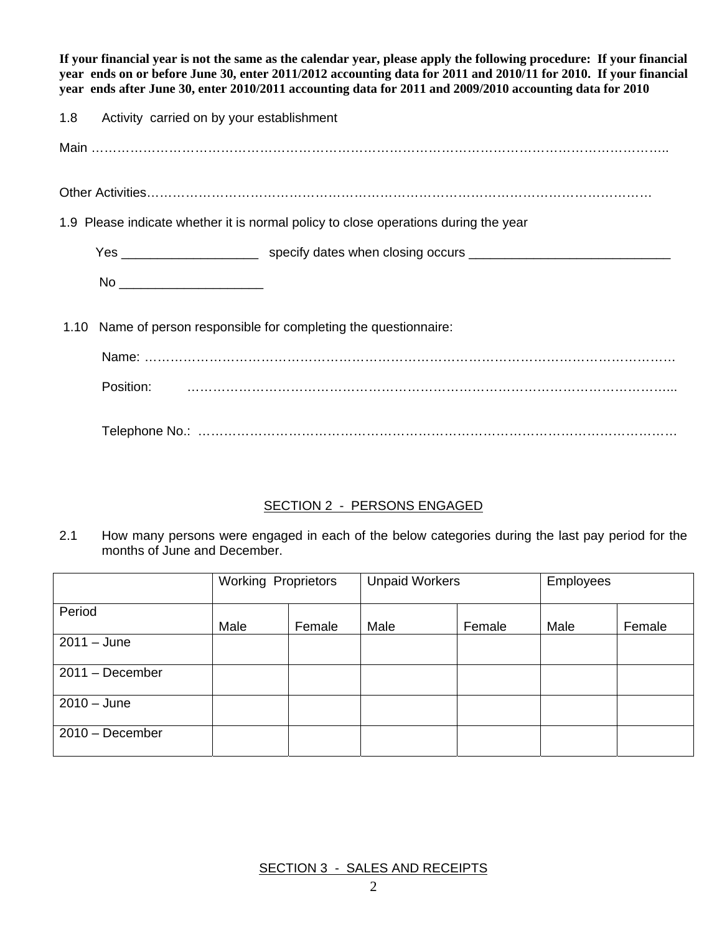**If your financial year is not the same as the calendar year, please apply the following procedure: If your financial year ends on or before June 30, enter 2011/2012 accounting data for 2011 and 2010/11 for 2010. If your financial year ends after June 30, enter 2010/2011 accounting data for 2011 and 2009/2010 accounting data for 2010** 

| 1.8 Activity carried on by your establishment                                       |
|-------------------------------------------------------------------------------------|
|                                                                                     |
|                                                                                     |
| 1.9 Please indicate whether it is normal policy to close operations during the year |
|                                                                                     |
| No _________________________                                                        |
| 1.10 Name of person responsible for completing the questionnaire:                   |
|                                                                                     |
|                                                                                     |
|                                                                                     |

### SECTION 2 - PERSONS ENGAGED

2.1 How many persons were engaged in each of the below categories during the last pay period for the months of June and December.

|                   | <b>Working Proprietors</b> |        | <b>Unpaid Workers</b> |        | Employees |        |
|-------------------|----------------------------|--------|-----------------------|--------|-----------|--------|
| Period            | Male                       | Female | Male                  | Female | Male      | Female |
| $2011 - June$     |                            |        |                       |        |           |        |
| $2011 - December$ |                            |        |                       |        |           |        |
| $2010 - June$     |                            |        |                       |        |           |        |
| $2010 - December$ |                            |        |                       |        |           |        |

SECTION 3 - SALES AND RECEIPTS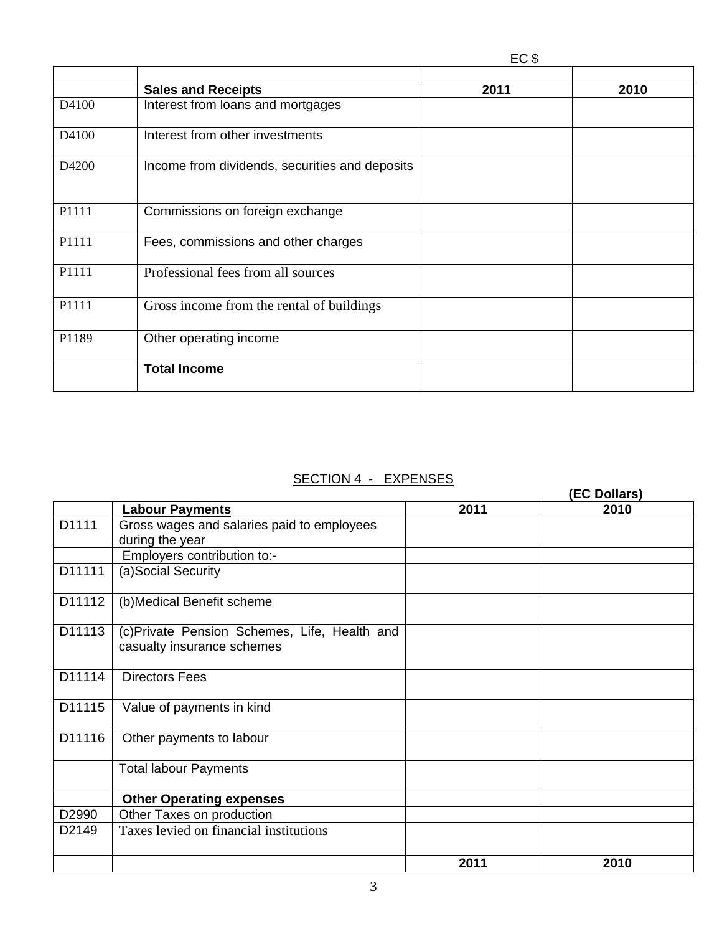|  | EC \$ |
|--|-------|
|--|-------|

|       | <b>Sales and Receipts</b>                      | 2011 | 2010 |
|-------|------------------------------------------------|------|------|
| D4100 | Interest from loans and mortgages              |      |      |
| D4100 | Interest from other investments                |      |      |
| D4200 | Income from dividends, securities and deposits |      |      |
| P1111 | Commissions on foreign exchange                |      |      |
| P1111 | Fees, commissions and other charges            |      |      |
| P1111 | Professional fees from all sources             |      |      |
| P1111 | Gross income from the rental of buildings      |      |      |
| P1189 | Other operating income                         |      |      |
|       | <b>Total Income</b>                            |      |      |

# SECTION 4 - EXPENSES

|        |                                               |      | (EC Dollars) |
|--------|-----------------------------------------------|------|--------------|
|        | <b>Labour Payments</b>                        | 2011 | 2010         |
| D1111  | Gross wages and salaries paid to employees    |      |              |
|        | during the year                               |      |              |
|        | Employers contribution to:-                   |      |              |
| D11111 | (a)Social Security                            |      |              |
| D11112 | (b) Medical Benefit scheme                    |      |              |
| D11113 | (c) Private Pension Schemes, Life, Health and |      |              |
|        | casualty insurance schemes                    |      |              |
| D11114 | <b>Directors Fees</b>                         |      |              |
| D11115 | Value of payments in kind                     |      |              |
| D11116 | Other payments to labour                      |      |              |
|        | <b>Total labour Payments</b>                  |      |              |
|        | <b>Other Operating expenses</b>               |      |              |
| D2990  | Other Taxes on production                     |      |              |
| D2149  | Taxes levied on financial institutions        |      |              |
|        |                                               | 2011 | 2010         |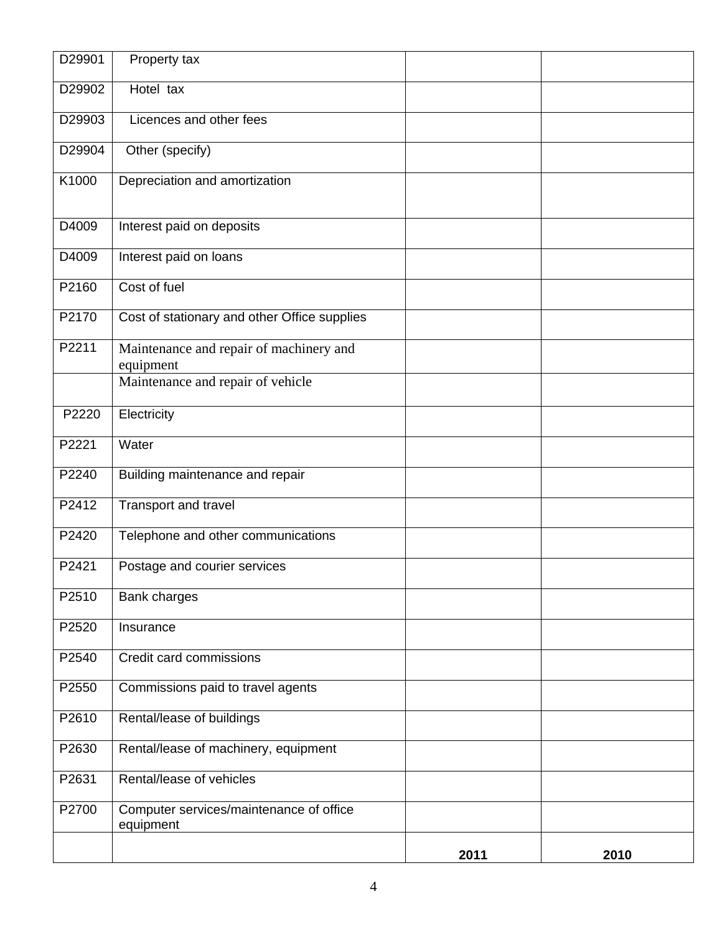| D29901 | Property tax                                         |      |      |
|--------|------------------------------------------------------|------|------|
| D29902 | Hotel tax                                            |      |      |
| D29903 | Licences and other fees                              |      |      |
| D29904 | Other (specify)                                      |      |      |
| K1000  | Depreciation and amortization                        |      |      |
|        |                                                      |      |      |
| D4009  | Interest paid on deposits                            |      |      |
| D4009  | Interest paid on loans                               |      |      |
| P2160  | Cost of fuel                                         |      |      |
| P2170  | Cost of stationary and other Office supplies         |      |      |
| P2211  | Maintenance and repair of machinery and<br>equipment |      |      |
|        | Maintenance and repair of vehicle                    |      |      |
| P2220  | Electricity                                          |      |      |
| P2221  | Water                                                |      |      |
| P2240  | Building maintenance and repair                      |      |      |
| P2412  | Transport and travel                                 |      |      |
| P2420  | Telephone and other communications                   |      |      |
| P2421  | Postage and courier services                         |      |      |
| P2510  | Bank charges                                         |      |      |
| P2520  | Insurance                                            |      |      |
| P2540  | Credit card commissions                              |      |      |
| P2550  | Commissions paid to travel agents                    |      |      |
| P2610  | Rental/lease of buildings                            |      |      |
| P2630  | Rental/lease of machinery, equipment                 |      |      |
| P2631  | Rental/lease of vehicles                             |      |      |
| P2700  | Computer services/maintenance of office<br>equipment |      |      |
|        |                                                      | 2011 | 2010 |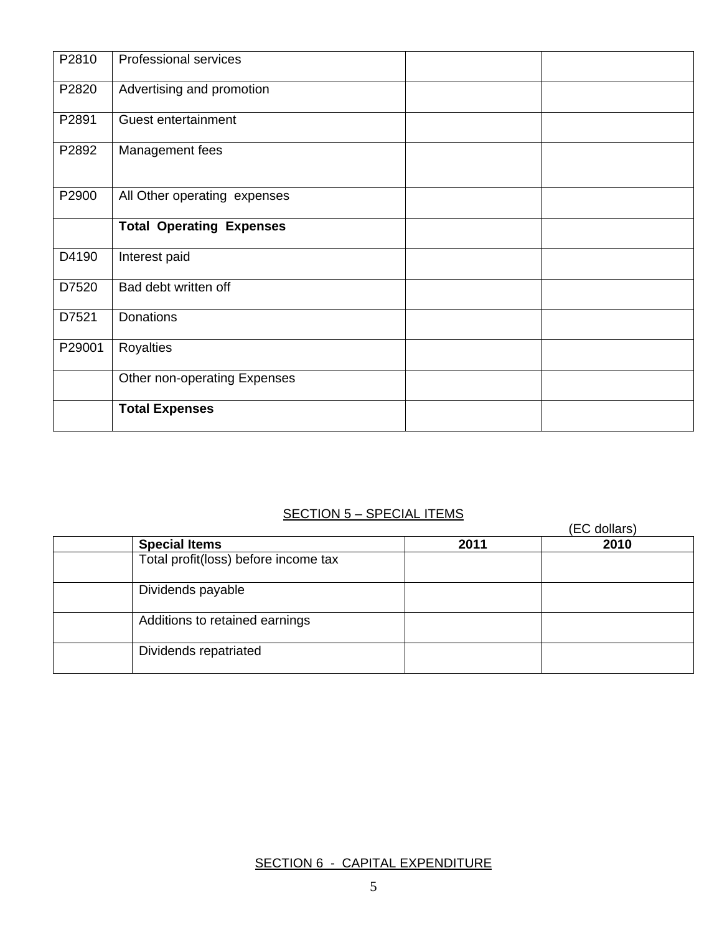| P2810  | <b>Professional services</b>    |  |
|--------|---------------------------------|--|
| P2820  | Advertising and promotion       |  |
| P2891  | Guest entertainment             |  |
| P2892  | Management fees                 |  |
| P2900  | All Other operating expenses    |  |
|        | <b>Total Operating Expenses</b> |  |
| D4190  | Interest paid                   |  |
| D7520  | Bad debt written off            |  |
| D7521  | <b>Donations</b>                |  |
| P29001 | Royalties                       |  |
|        | Other non-operating Expenses    |  |
|        | <b>Total Expenses</b>           |  |

## SECTION 5 - SPECIAL ITEMS

|                                      |      | (EC dollars) |
|--------------------------------------|------|--------------|
| <b>Special Items</b>                 | 2011 | 2010         |
| Total profit(loss) before income tax |      |              |
| Dividends payable                    |      |              |
| Additions to retained earnings       |      |              |
| Dividends repatriated                |      |              |

#### SECTION 6 - CAPITAL EXPENDITURE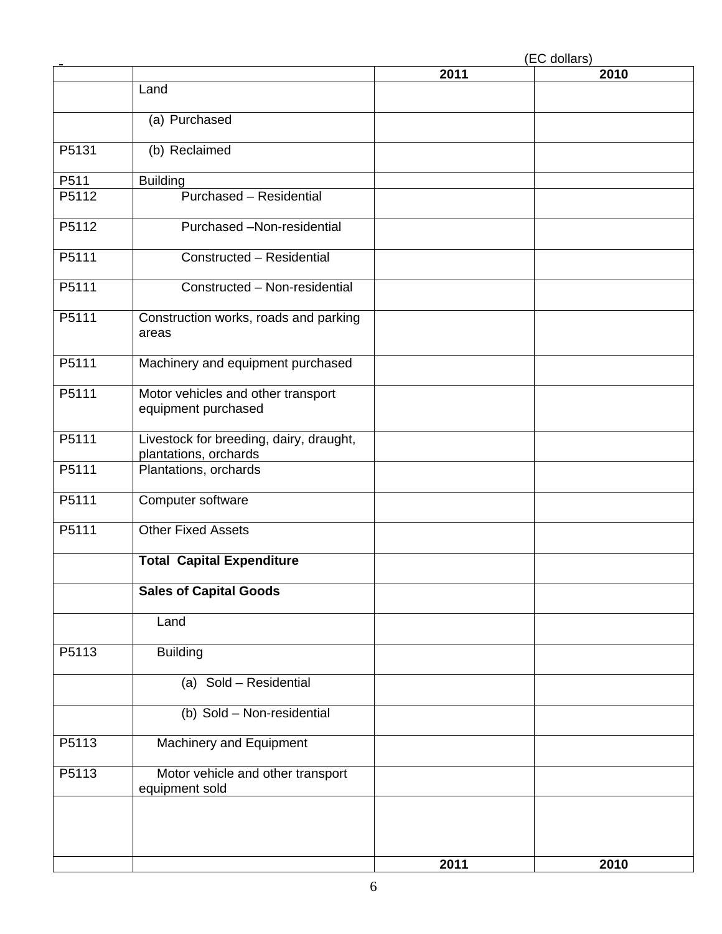|       |                                                                  |      | (EC dollars) |
|-------|------------------------------------------------------------------|------|--------------|
|       |                                                                  | 2011 | 2010         |
|       | Land                                                             |      |              |
|       | (a) Purchased                                                    |      |              |
| P5131 | (b) Reclaimed                                                    |      |              |
| P511  | <b>Building</b>                                                  |      |              |
| P5112 | Purchased - Residential                                          |      |              |
| P5112 | Purchased -Non-residential                                       |      |              |
| P5111 | Constructed - Residential                                        |      |              |
| P5111 | Constructed - Non-residential                                    |      |              |
| P5111 | Construction works, roads and parking<br>areas                   |      |              |
| P5111 | Machinery and equipment purchased                                |      |              |
| P5111 | Motor vehicles and other transport<br>equipment purchased        |      |              |
| P5111 | Livestock for breeding, dairy, draught,<br>plantations, orchards |      |              |
| P5111 | Plantations, orchards                                            |      |              |
| P5111 | Computer software                                                |      |              |
| P5111 | <b>Other Fixed Assets</b>                                        |      |              |
|       | <b>Total Capital Expenditure</b>                                 |      |              |
|       | <b>Sales of Capital Goods</b>                                    |      |              |
|       | Land                                                             |      |              |
| P5113 | <b>Building</b>                                                  |      |              |
|       | (a) Sold - Residential                                           |      |              |
|       | (b) Sold - Non-residential                                       |      |              |
| P5113 | Machinery and Equipment                                          |      |              |
| P5113 | Motor vehicle and other transport<br>equipment sold              |      |              |
|       |                                                                  |      |              |
|       |                                                                  | 2011 | 2010         |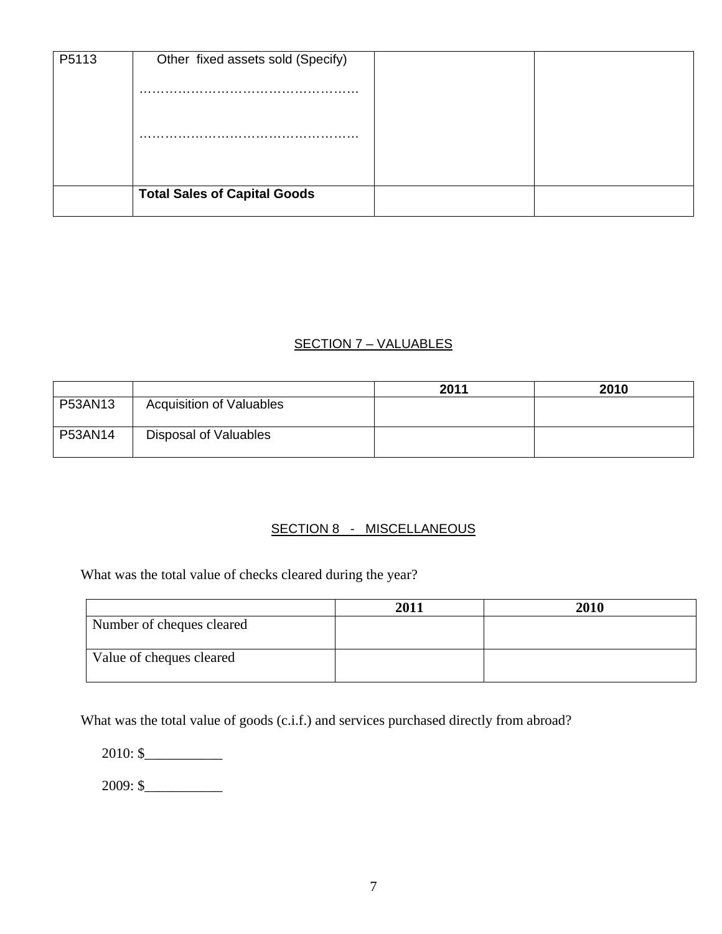| P5113 | Other fixed assets sold (Specify)   |  |
|-------|-------------------------------------|--|
|       | .                                   |  |
|       |                                     |  |
|       |                                     |  |
|       |                                     |  |
|       | <b>Total Sales of Capital Goods</b> |  |

### SECTION 7 – VALUABLES

|         |                                 | 2011 | 2010 |
|---------|---------------------------------|------|------|
| P53AN13 | <b>Acquisition of Valuables</b> |      |      |
| P53AN14 | Disposal of Valuables           |      |      |

## SECTION 8 - MISCELLANEOUS

What was the total value of checks cleared during the year?

|                           | 2011 | 2010 |
|---------------------------|------|------|
| Number of cheques cleared |      |      |
| Value of cheques cleared  |      |      |

What was the total value of goods (c.i.f.) and services purchased directly from abroad?

 $2010:$ \$

2009: \$\_\_\_\_\_\_\_\_\_\_\_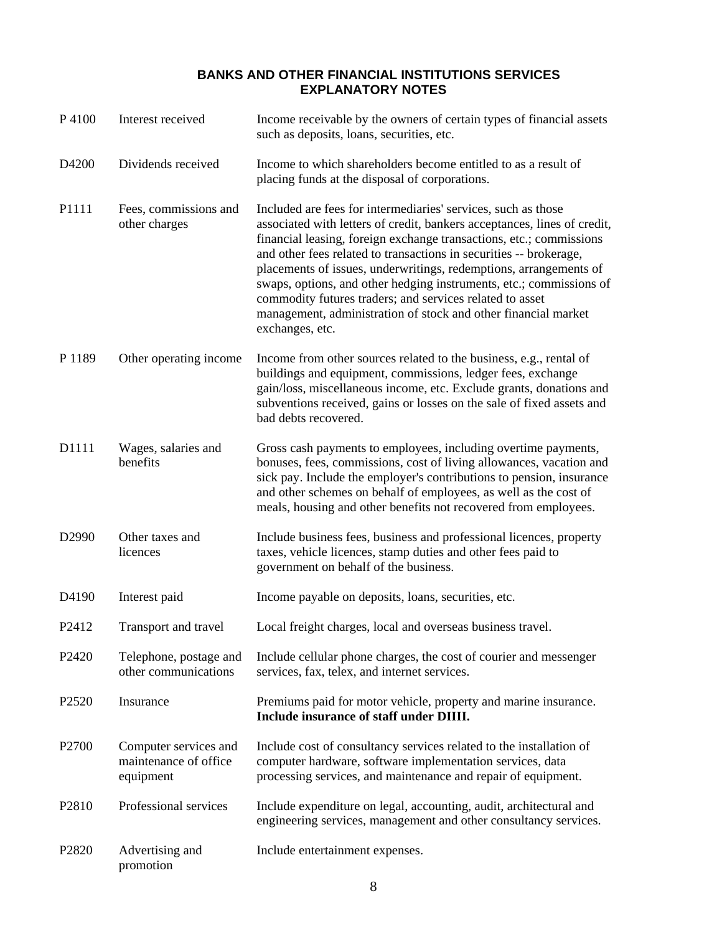#### **BANKS AND OTHER FINANCIAL INSTITUTIONS SERVICES EXPLANATORY NOTES**

| P 4100            | Interest received                                           | Income receivable by the owners of certain types of financial assets<br>such as deposits, loans, securities, etc.                                                                                                                                                                                                                                                                                                                                                                                                                                                                   |
|-------------------|-------------------------------------------------------------|-------------------------------------------------------------------------------------------------------------------------------------------------------------------------------------------------------------------------------------------------------------------------------------------------------------------------------------------------------------------------------------------------------------------------------------------------------------------------------------------------------------------------------------------------------------------------------------|
| D4200             | Dividends received                                          | Income to which shareholders become entitled to as a result of<br>placing funds at the disposal of corporations.                                                                                                                                                                                                                                                                                                                                                                                                                                                                    |
| P1111             | Fees, commissions and<br>other charges                      | Included are fees for intermediaries' services, such as those<br>associated with letters of credit, bankers acceptances, lines of credit,<br>financial leasing, foreign exchange transactions, etc.; commissions<br>and other fees related to transactions in securities -- brokerage,<br>placements of issues, underwritings, redemptions, arrangements of<br>swaps, options, and other hedging instruments, etc.; commissions of<br>commodity futures traders; and services related to asset<br>management, administration of stock and other financial market<br>exchanges, etc. |
| P 1189            | Other operating income                                      | Income from other sources related to the business, e.g., rental of<br>buildings and equipment, commissions, ledger fees, exchange<br>gain/loss, miscellaneous income, etc. Exclude grants, donations and<br>subventions received, gains or losses on the sale of fixed assets and<br>bad debts recovered.                                                                                                                                                                                                                                                                           |
| D1111             | Wages, salaries and<br>benefits                             | Gross cash payments to employees, including overtime payments,<br>bonuses, fees, commissions, cost of living allowances, vacation and<br>sick pay. Include the employer's contributions to pension, insurance<br>and other schemes on behalf of employees, as well as the cost of<br>meals, housing and other benefits not recovered from employees.                                                                                                                                                                                                                                |
| D2990             | Other taxes and<br>licences                                 | Include business fees, business and professional licences, property<br>taxes, vehicle licences, stamp duties and other fees paid to<br>government on behalf of the business.                                                                                                                                                                                                                                                                                                                                                                                                        |
| D4190             | Interest paid                                               | Income payable on deposits, loans, securities, etc.                                                                                                                                                                                                                                                                                                                                                                                                                                                                                                                                 |
| P <sub>2412</sub> | Transport and travel                                        | Local freight charges, local and overseas business travel.                                                                                                                                                                                                                                                                                                                                                                                                                                                                                                                          |
| P <sub>2420</sub> | Telephone, postage and<br>other communications              | Include cellular phone charges, the cost of courier and messenger<br>services, fax, telex, and internet services.                                                                                                                                                                                                                                                                                                                                                                                                                                                                   |
| P2520             | Insurance                                                   | Premiums paid for motor vehicle, property and marine insurance.<br>Include insurance of staff under DIIII.                                                                                                                                                                                                                                                                                                                                                                                                                                                                          |
| P <sub>2700</sub> | Computer services and<br>maintenance of office<br>equipment | Include cost of consultancy services related to the installation of<br>computer hardware, software implementation services, data<br>processing services, and maintenance and repair of equipment.                                                                                                                                                                                                                                                                                                                                                                                   |
| P <sub>2810</sub> | Professional services                                       | Include expenditure on legal, accounting, audit, architectural and<br>engineering services, management and other consultancy services.                                                                                                                                                                                                                                                                                                                                                                                                                                              |
| P <sub>2820</sub> | Advertising and<br>promotion                                | Include entertainment expenses.                                                                                                                                                                                                                                                                                                                                                                                                                                                                                                                                                     |